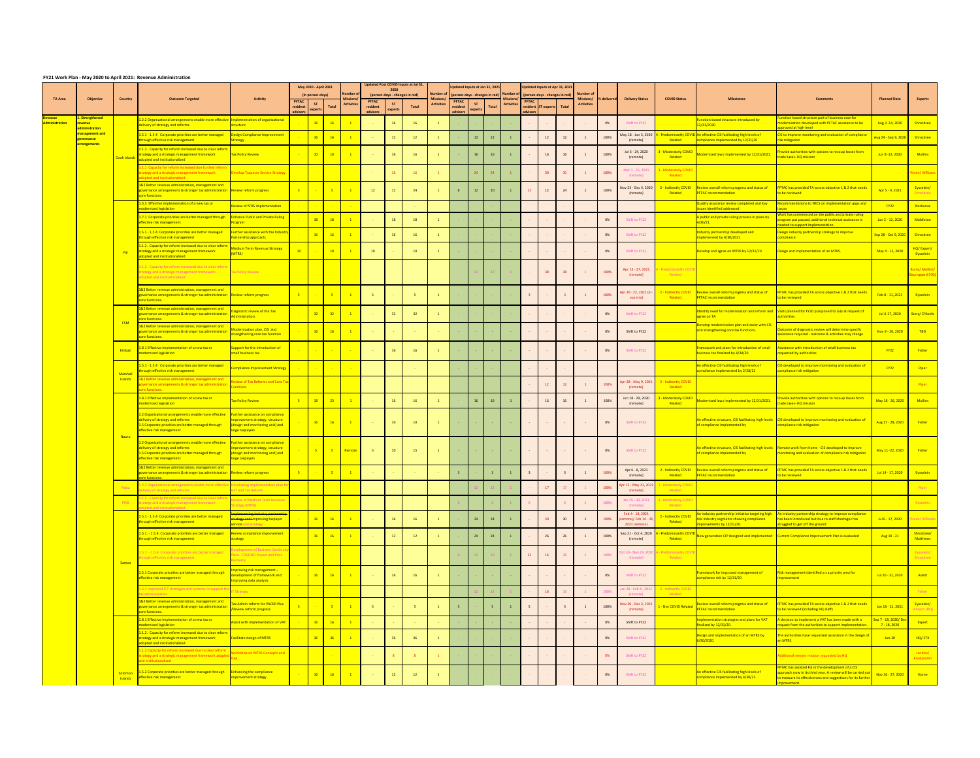## **FY21 Work Plan - May 2020 to April 2021: Revenue Administration**

|                                         |                                                |                                        |                                                                                                                                                                                                                |                                                                                                                         |                          | May 2020 - April 2021                                                |                                                                                    |                         |                 | Updated Post COVID Inputs at Jul 31, |                   | Updated Inputs at Jan 31, 2021 |               |               |                   |                          | Updated Inputs at Apr 31, 2021 |     |                                |              |                                                        |                                     |                                                                                                                                      |                                                                                                                                                                                                    |                                                      |                                          |
|-----------------------------------------|------------------------------------------------|----------------------------------------|----------------------------------------------------------------------------------------------------------------------------------------------------------------------------------------------------------------|-------------------------------------------------------------------------------------------------------------------------|--------------------------|----------------------------------------------------------------------|------------------------------------------------------------------------------------|-------------------------|-----------------|--------------------------------------|-------------------|--------------------------------|---------------|---------------|-------------------|--------------------------|--------------------------------|-----|--------------------------------|--------------|--------------------------------------------------------|-------------------------------------|--------------------------------------------------------------------------------------------------------------------------------------|----------------------------------------------------------------------------------------------------------------------------------------------------------------------------------------------------|------------------------------------------------------|------------------------------------------|
|                                         |                                                |                                        |                                                                                                                                                                                                                |                                                                                                                         |                          | (in person-days)                                                     | Number                                                                             |                         | 2020            | (person-days - changes in red)       | <b>Number of</b>  | (person-days - changes in red) |               |               | Number of         |                          | (person-days - changes in red) |     | <b>Number of</b>               |              |                                                        |                                     |                                                                                                                                      |                                                                                                                                                                                                    |                                                      |                                          |
| <b>TA Area</b>                          | <b>Objective</b>                               | <b>Country</b>                         | <b>Outcome Targeted</b>                                                                                                                                                                                        | <b>Activity</b>                                                                                                         | <b>PFTAC</b><br>resident | ST.<br>experts                                                       | <b>Activities</b><br>Total                                                         | <b>PFTAC</b><br>residen | ST<br>experts   | Total                                | <b>Activities</b> | <b>PFTAC</b><br>residen        | ST<br>experts | Total         | <b>Activities</b> | <b>PFTAC</b>             | resident ST experts Total      |     | Missions/<br><b>Activities</b> | ■% delivered | <b>Delivery Status</b>                                 | <b>COVID Status</b>                 | <b>Milestones</b>                                                                                                                    | <b>Comments</b>                                                                                                                                                                                    | <b>Planned Date</b>                                  | <b>Experts</b>                           |
| <b>Revenue</b><br><b>Administration</b> | 1. Strengthened<br><u>revenue</u>              |                                        | 1.2.2 Organizational arrangements enable more effective   Implementation of organizational<br>delivery of strategy and reforms                                                                                 | ructure:                                                                                                                | advisors                 | 16                                                                   | $-16$                                                                              | advisors                | 16              |                                      |                   | advisors                       |               |               |                   |                          |                                |     |                                | 0%           | Shift to FY22                                          |                                     | Function based structure introduced by<br>12/31/2020                                                                                 | unction based structure part of business case for<br>nodernization developed with PFTAC assistance to be                                                                                           | Aug 3 -14, 2020                                      | Shrosbree                                |
|                                         | administration<br>management and<br>governance |                                        | 1.5.1 - 1.5.4 Corporate priorities are better managed<br>through effective risk management                                                                                                                     | Design Compliance Improvement<br>trategy                                                                                |                          | 16                                                                   | $-16$                                                                              |                         | 12 <sup>°</sup> | 12                                   |                   |                                | 12            | 12            |                   |                          | 12                             | 12  |                                | 100%         | May 18 - Jun 5, 2020<br>(remote)                       | <b>Predominantly COV</b><br>Related | D An effective CIS facilitating high levels of<br>compliance implemented by 12/31/20                                                 | pproved at high level<br>CIS to Improve monitoring and evaluation of compliance<br>isk mitigation                                                                                                  | Aug 24 - Sep 9, 2020 Shrosbree                       |                                          |
|                                         | arrangements                                   | Cook Islands                           | 1.1.2. Capacity for reform increased due to clear reform<br>strategy and a strategic management framework                                                                                                      | <b>Tax Policy Review</b>                                                                                                | <b>Contract</b>          | 10                                                                   | $\overline{10}$                                                                    |                         | 16              | 16                                   |                   |                                |               | <sup>16</sup> |                   |                          | 16                             |     |                                | 100%         | Jul 6 - 24, 2020<br>(remote)                           | - Moderately COVID<br>Related       | Aodernized laws implemented by 12/31/2021.                                                                                           | ovide authorities with options to recoup losses from<br>rade taxes- HQ mission                                                                                                                     | Jun 8 - 12, 2020                                     | <b>Mullins</b>                           |
|                                         |                                                |                                        | adopted and institutionalized<br>1.1.1 Capacity for reform increased due to clear reforr<br>strategy and a strategic management framework                                                                      | evelop Taxpayer Service Strategy                                                                                        |                          |                                                                      |                                                                                    |                         |                 | 16                                   |                   |                                |               |               |                   |                          | 30                             |     |                                | 100%         | Mar 1 - 15, 2021                                       | - Moderately COV                    |                                                                                                                                      |                                                                                                                                                                                                    |                                                      | Vivien/ Williams                         |
|                                         |                                                |                                        | adopted and institutionalized<br>1&2 Better revenue administration, management and<br>governance arrangements & stronger tax administration Review reform progress                                             |                                                                                                                         | $-5$                     | <b>Service</b>                                                       | $-5$                                                                               | 12                      |                 | 24                                   |                   |                                |               | 20            |                   | 12                       | 12                             | 24  |                                | 100%         | (remote)<br>Nov 23 - Dec 4, 2020                       | Related<br>2 - Indirectly COVID     | Review overall reform progress and status of                                                                                         | PFTAC has provided TA across objective 1 & 2 that needs                                                                                                                                            | Apr 5 - 9, 2021                                      | Eysselein/                               |
|                                         |                                                |                                        | core functions.<br>1.3.3 Effective implementation of a new tax or                                                                                                                                              | eview of NTIS implementation                                                                                            |                          |                                                                      |                                                                                    |                         |                 |                                      |                   |                                |               |               |                   |                          |                                |     |                                |              | (remote)                                               | Related                             | <b>PFTAC</b> recommendation<br>Quality assurance review completed and key                                                            | <mark>o be reviewed</mark><br>ecommendations to FRCS on implementation gaps and                                                                                                                    | $-Y22$                                               | Shrosbree  <br><b>Norkunas</b>           |
|                                         |                                                |                                        | modernized legislation<br>1.7.1 Corporate priorities are better managed through                                                                                                                                | <b>Enhance Public and Private Ruling</b>                                                                                |                          | 18                                                                   | $-18$                                                                              |                         | 18              | 18                                   |                   |                                |               |               |                   |                          |                                |     |                                | 0%           | Shift to FY22                                          |                                     | ssues identified addressed<br>A public and private ruling process in place by                                                        | ssues<br>Vork has commenced on the public and private ruling<br>rogram put paused, additional technical assistance is                                                                              | Jun 2 - 12, 2020                                     | Middleton                                |
|                                         |                                                |                                        | effective risk management<br>1.5.1 - 1.5.4 Corporate priorities are better managed                                                                                                                             | Program<br>urther assistance with the Industi                                                                           |                          | $\begin{array}{ c c c c c } \hline \text{16} & \text{ } \end{array}$ | $-16$                                                                              |                         | 16              | 16                                   |                   |                                |               |               |                   |                          |                                |     |                                | 0%           | Shift to FY22                                          |                                     | 4/30/21.<br>ndustry partnership developed and                                                                                        | needed to support implementation.<br>Design industry partnership strategy to improve                                                                                                               | Sep 28 - Oct 9, 2020 Shrosbree                       |                                          |
|                                         |                                                | Fiii                                   | through effective risk management<br>1.1.2. Capacity for reform increased due to clear refor<br>strategy and a strategic management framework                                                                  | Partnership approach;<br><b>Medium Term Revenue Strategy</b>                                                            | 10                       |                                                                      | $\overline{10}$                                                                    | $10^{-1}$               |                 | 10                                   |                   |                                |               |               |                   |                          |                                |     |                                | 0%           | Shift to FY22                                          |                                     | mplemented by 4/30/2021<br>Develop and agree on MTRS by 12/31/20                                                                     | ompliance<br>esign and implementation of an MTRS.                                                                                                                                                  | May 4 - 15, 2020                                     | HQ/Expert/                               |
|                                         |                                                |                                        | adopted and institutionalized<br>1.2. Capacity for reform increased due to clear refo                                                                                                                          | <b>ATRSI</b>                                                                                                            |                          |                                                                      |                                                                                    |                         |                 |                                      |                   |                                |               |               |                   |                          |                                |     |                                |              |                                                        |                                     |                                                                                                                                      |                                                                                                                                                                                                    |                                                      | Eysselein                                |
|                                         |                                                |                                        | strategy and a strategic management framework<br>adopted and institutionalized                                                                                                                                 | <b>Tax Policy Review</b>                                                                                                |                          |                                                                      |                                                                                    |                         |                 |                                      |                   |                                |               |               |                   |                          | 38                             | -38 |                                | 100%         | Apr 13 - 27, 2021<br>(remote) l                        | Related                             |                                                                                                                                      |                                                                                                                                                                                                    |                                                      | <b>Burns/Mullins/</b><br>Baunsgaard (HQ) |
|                                         |                                                |                                        | 1&2 Better revenue administration, management and<br>governance arrangements & stronger tax administration Review reform progress<br><mark>core functions.</mark>                                              |                                                                                                                         |                          |                                                                      | $-5$                                                                               |                         |                 |                                      |                   |                                |               |               |                   |                          |                                |     |                                | 100%         | country)                                               | Related                             | Apr 20 - 22, 2021 (in- $\overline{2}$ - Indirectly COVID Review overall reform progress and status of<br><b>PFTAC</b> recommendation | <b>PFTAC has provided TA across objective 1 &amp; 2 that needs</b><br><u>be reviewed </u>                                                                                                          | Feb 8 - 11. 2021 Crysselein                          |                                          |
|                                         |                                                |                                        | 1&2 Better revenue administration, management and<br>governance arrangements & stronger tax administratic<br>ore functions.                                                                                    | iagnostic review of the Tax<br>Iministration.                                                                           |                          | 32                                                                   | $\frac{32}{ }$                                                                     |                         | 32 <sup>°</sup> | 32 <sup>2</sup>                      |                   |                                |               |               |                   |                          |                                |     |                                | 0%           | Shift to FY22                                          |                                     | agree on TA                                                                                                                          | Identify need for modernization and reform and Visits planned for FY20 postponed to July at request of                                                                                             | Jul 6-17, 2020 Story/O'Keefe                         |                                          |
|                                         |                                                | <b>FSM</b>                             | 1&2 Better revenue administration, management and<br>governance arrangements & stronger tax administratio<br>ore functions.                                                                                    | Modernization plan, CIS and<br>strengthening core tax function                                                          |                          | 16                                                                   | $\frac{16}{16}$                                                                    |                         |                 |                                      |                   |                                |               |               |                   |                          |                                |     |                                | 0%           | Shift to FY22                                          |                                     | Develop modernization plan and assist with CIS<br>and strengthening core tax functions.                                              | Outcome of diagnostic review will determine specific<br>ssistance required - outcome & activities may change                                                                                       | Nov 9 - 20, 2020                                     | <b>TBD</b>                               |
|                                         |                                                | <b>Kiribat</b>                         | .8.1 Effective implementation of a new tax or<br>nodernized legislation                                                                                                                                        | Support for the introduction of<br>small business tax                                                                   |                          |                                                                      |                                                                                    | <b>Contract</b>         | <sup>16</sup>   | 16                                   |                   |                                |               |               |                   |                          |                                |     |                                | 0%           | Shift to FY22                                          |                                     | Framework and plans for introduction of small<br>ousiness tax finalized by 4/30/20                                                   | ssistance with introduction of small business tax<br>equested by authorities                                                                                                                       | <b>FY22</b>                                          | <b>Fisher</b>                            |
|                                         |                                                |                                        | 1.5.1 - 1.5.4 Corporate priorities are better managed<br>hrough effective risk management                                                                                                                      | <b>Compliance Improvement Strategy</b>                                                                                  |                          | <b>Contract</b>                                                      |                                                                                    |                         |                 |                                      |                   |                                |               |               |                   |                          |                                |     |                                |              |                                                        |                                     | An effective CIS facilitating high levels of<br>compliance implemented by 2/28/21                                                    | IS developed to Improve monitoring and evaluation of<br>compliance risk mitigation                                                                                                                 | <b>FY22</b>                                          | Piper                                    |
|                                         |                                                | Marshall<br><b>Islands</b>             | 1&2 Better revenue administration, management and<br>governance arrangements & stronger tax administratio                                                                                                      | Review of Tax Reforms and Core Ta<br>unctions                                                                           |                          |                                                                      |                                                                                    |                         |                 |                                      |                   |                                |               |               |                   |                          | 12                             | 12  |                                | 100%         | Apr 28 - May 9, 2021<br>(remote)                       | 2 - Indirectly COVID<br>Related     |                                                                                                                                      |                                                                                                                                                                                                    |                                                      | Piper                                    |
|                                         |                                                |                                        | ore functions.<br>1.8.1 Effective implementation of a new tax or<br>modernized legislation                                                                                                                     | <b>Tax Policy Review</b>                                                                                                | $-5$                     |                                                                      | $\overline{\phantom{1}}$ 23                                                        |                         | 16              | 16                                   |                   |                                | 16            | 16            |                   |                          | 16                             |     |                                | 100%         | Jun 18 - 29, 2020<br>(remote)                          | - Moderately COVII<br>Related       | 1odernized laws implemented by 12/31/2021.                                                                                           | ovide authorities with options to recoup losses from<br>rade taxes- HQ mission                                                                                                                     | May 18 - 26, 2020                                    | <b>Mullins</b>                           |
|                                         |                                                |                                        | 1.2 Organizational arrangements enable more effective Further assistance on compliance<br>delivery of strategy and reforms<br>1.5 Corporate priorities are better managed through<br>effective risk management | nprovement strategy, structure<br>(design and monitoring unit) and<br>large taxpayers                                   |                          |                                                                      | $\begin{array}{ c c c c c }\n\hline\n16 & 16\n\end{array}$<br>$\overline{1}$       | <b>Contract</b>         | 10              | 10                                   |                   |                                |               |               |                   | <b>Contract Contract</b> | <b>Contract Contract</b>       |     |                                | 0%           | Shift to FY22                                          |                                     | of compliance implemented by                                                                                                         | An effective structure, CIS facilitating high levels CIS developed to Improve monitoring and evaluation of<br>compliance risk mitigation                                                           | Aug 17 - 28, 2020                                    | <b>Fisher</b>                            |
|                                         |                                                | <b>Nauru</b>                           | 1.2 Organizational arrangements enable more effective Further assistance on compliance<br>delivery of strategy and reforms<br>1.5 Corporate priorities are better managed through<br>effective risk management | improvement strategy, structure<br>(design and monitoring unit) and<br>large taxpayers                                  |                          | $5 - 1$                                                              | <u>5</u> Remote                                                                    |                         | 10              | 15                                   |                   |                                |               |               |                   |                          |                                |     |                                | 0%           | Shift to FY22                                          |                                     | of compliance implemented by                                                                                                         | An effective structure, CIS facilitating high levels Remote work from home - CIS developed to Improve<br>nonitoring and evaluation of compliance risk mitigation                                   | May 11 -22, 2020                                     | <b>Fisher</b>                            |
|                                         |                                                |                                        | 1&2 Better revenue administration, management and<br>governance arrangements & stronger tax administration Review reform progress<br>core functions.                                                           |                                                                                                                         | $-5$                     |                                                                      | $-5$                                                                               |                         |                 |                                      |                   |                                |               |               |                   |                          |                                |     |                                | 100%         | Apr 6 - 8, 2021<br>(remote)                            | 2 - Indirectly COVID<br>Related     | Review overall reform progress and status of<br><b>PFTAC</b> recommendation                                                          | FTAC has provided TA across objective 1 & 2 that needs<br>to be reviewed                                                                                                                           | Jul 14 - 17, 2020                                    | <b>Eysselein</b>                         |
|                                         |                                                | Palau                                  | 2.2 Organizational arrangements ena<br>delivery of strategy and reforms                                                                                                                                        | ST and Tax Reform                                                                                                       |                          |                                                                      |                                                                                    |                         |                 |                                      |                   |                                |               |               |                   |                          | 17                             |     |                                | 100%         | pr 12 - May 31, 202<br>(remote)                        | <b>Moderately CC</b><br>Related     |                                                                                                                                      |                                                                                                                                                                                                    |                                                      | Piper                                    |
|                                         |                                                | PNG                                    | 1.2. Capacity for reform increased due to clear refo<br>strategy and a strategic management framework<br><b>Example 10</b> Institutionalized                                                                   | <b>Service Service</b><br>view of Medium Term Revenue!<br>trategy (MTRS)                                                |                          |                                                                      |                                                                                    |                         |                 |                                      |                   |                                |               |               |                   |                          |                                |     |                                |              | Jan 25 - 29, 2021<br>(remote)                          | - Moderately COVI<br>Related        |                                                                                                                                      |                                                                                                                                                                                                    |                                                      | Eysselein                                |
|                                         |                                                |                                        | 1.5.1 - 1.5.4 Corporate priorities are better managed<br>through effective risk management                                                                                                                     | <del>plementing industry partnership</del><br><del>trategy and I</del> mproving taxpayer<br><b>service and strategy</b> |                          | 16                                                                   | $\frac{16}{16}$                                                                    |                         | 16              | 16                                   |                   |                                | 24            | 24            |                   |                          | 30 <sup>°</sup>                |     |                                | 100%         | Feb 4 - 18, 2021<br>emote)/Feb 14 - 2<br>2021 (remote) | 2 - Indirectly COVID<br>Related     | n industry partnership initiative targeting high -<br>risk industry segments showing compliance<br>improvements by 12/31/20.         | An industry partnership strategy to improve compliance<br>has been introduced but due to staff shortages has<br>struggled to get off the ground.                                                   | Jul 6 - 17, 2020                                     | Vivien/ Williams                         |
|                                         |                                                |                                        | 1.5.1. - 1.5.4. Corporate priorities are better managed<br>through effective risk management                                                                                                                   | <b>Renew compliance improvement</b><br>trategy                                                                          |                          |                                                                      | $16$ 16                                                                            |                         | 12              | 12                                   |                   |                                | 24            |               |                   |                          | 26                             |     |                                | 100%         | Sep 21 - Oct 4, 2020<br>(remote)                       | - Predominantly COV<br>Related      |                                                                                                                                      | New generation CIP designed and implemented LCurrent Compliance Improvement Plan is evaluated                                                                                                      | Aug 10 - 21                                          | Shrosbree/<br><b>Matthews</b>            |
|                                         |                                                |                                        | 5.1. - 1.5.4. Corporate priorities are better managed<br>hrough effective risk management                                                                                                                      | evelopment of Business Continui<br>ans- COVID19 Impact and Post<br>ecovery                                              |                          |                                                                      |                                                                                    |                         |                 |                                      |                   |                                |               |               |                   | 12                       | 16                             |     |                                | 100%         | t 30 - Nov 14, 202<br>(remote)                         | Predominantly CC<br>Related         |                                                                                                                                      |                                                                                                                                                                                                    |                                                      | Eysselein/<br><b>Shrosbree</b>           |
|                                         |                                                | <b>Samoa</b>                           | 1.5.1 Corporate priorities are better managed through<br>effective risk management                                                                                                                             | nproving risk management -<br>evelopment of framework and<br>mproving data analysis                                     |                          |                                                                      | $\begin{array}{ c c c c c } \hline \textbf{16} & \textbf{16} \ \hline \end{array}$ |                         |                 | 16                                   |                   |                                |               |               |                   |                          |                                |     |                                | 0%           | Shift to FY22                                          |                                     | Framework for improved management of<br>compliance risk by 12/31/20                                                                  | isk management identified a s a priority area for<br><mark>mprovement</mark>                                                                                                                       | Jul 20 - 31, 2020                                    | Aslett                                   |
|                                         |                                                |                                        | 3.3 Improved ICT strategies and systems to support<br>ax administration and the                                                                                                                                | <b>Strategy</b>                                                                                                         |                          |                                                                      |                                                                                    |                         |                 |                                      |                   |                                |               |               |                   |                          | 16                             |     |                                | 100%         | in 20 - Feb 4., 2021<br>(remote)                       | 2 - Indirectly COVII<br>Related     |                                                                                                                                      |                                                                                                                                                                                                    |                                                      | <b>Fisher</b>                            |
|                                         |                                                |                                        | 1&2 Better revenue administration, management and<br>governance arrangements & stronger tax administratic<br>core functions.                                                                                   | <b>Tax Admin reform for PACER Plus</b><br>Review reform progress                                                        |                          |                                                                      | $\overline{\phantom{a}}$ 5 $\overline{\phantom{a}}$                                |                         |                 |                                      |                   |                                |               |               |                   |                          |                                |     |                                | 100%         | lov 30 - Dec 3, 2021<br>(remote)                       | L - Not COVID Related               | Review overall reform progress and status of<br><b>PFTAC</b> recommendation                                                          | PFTAC has provided TA across objective 1 & 2 that needs<br>to be reviewed (including HQ staff)                                                                                                     | Jan 18 - 21, 2021                                    | Eysselein/  <br>Vincent (HQ)             |
|                                         |                                                |                                        | 1.8.1 Effective implementation of a new tax or<br>modernized legislation                                                                                                                                       | ssist with implementation of VAT                                                                                        |                          | 16                                                                   | $\overline{16}$                                                                    |                         |                 |                                      |                   |                                |               |               |                   |                          |                                |     |                                | 0%           | Shift to FY22                                          |                                     | nplementation strategies and plans for VAT<br>inalized by 12/31/20.                                                                  | decision to implement a VAT has been made with a<br>equest from the authorities to support implementation                                                                                          | <mark>Sep 7 - 18, 2020/ De</mark> r<br>$7 - 18,2020$ | Expert                                   |
|                                         |                                                |                                        | 1.1.2. Capacity for reform increased due to clear refor<br>strategy and a strategic management framework<br>adopted and institutionalized                                                                      | <b>Facilitate design of MTRS</b>                                                                                        |                          | $36$                                                                 | $\frac{36}{ }$                                                                     |                         | 36 <sup>°</sup> | 36                                   |                   |                                |               |               |                   |                          |                                |     |                                | 0%           | Shift to FY22                                          |                                     | Design and implementation of an MTRS by<br><mark>5/30/2020.</mark>                                                                   | he authorities have requested assistance in the design o<br><u>ו MTRS.</u>                                                                                                                         | $Jun-20$                                             | HQ/STX                                   |
|                                         |                                                |                                        | 1.2 Capacity for reform increased due to clear refori<br>strategy and a strategic management framework adap<br>and institutionalized                                                                           | Vorkshop on MTRS Concepts and                                                                                           |                          |                                                                      |                                                                                    |                         |                 |                                      |                   |                                |               |               |                   |                          |                                |     |                                | 0%           | Shift to FY22                                          |                                     |                                                                                                                                      | dditional remote mission requested by HQ                                                                                                                                                           |                                                      | Jenkins/<br>Koukpaizan                   |
|                                         |                                                | <mark>Solomon</mark><br><b>Islands</b> | 1.5.2 Corporate priorities are better managed through<br>effective risk management                                                                                                                             | <b>Enhancing the compliance</b><br>improvement strategy                                                                 |                          |                                                                      | 16 16  <br>$\overline{1}$                                                          |                         |                 | 12                                   |                   |                                |               |               |                   |                          |                                |     |                                | 0%           | Shift to FY22                                          |                                     | An effective CIS facilitating high levels of<br>compliance implemented by 4/30/21.                                                   | <b>PFTAC has assisted Fiji in the development of a CIS</b><br>pproach now in its third year. A review will be carried o<br>o measure its effectiveness and suggestions for its furth<br>provement. | Nov 16 - 27, 2020                                    | <mark>Home</mark>                        |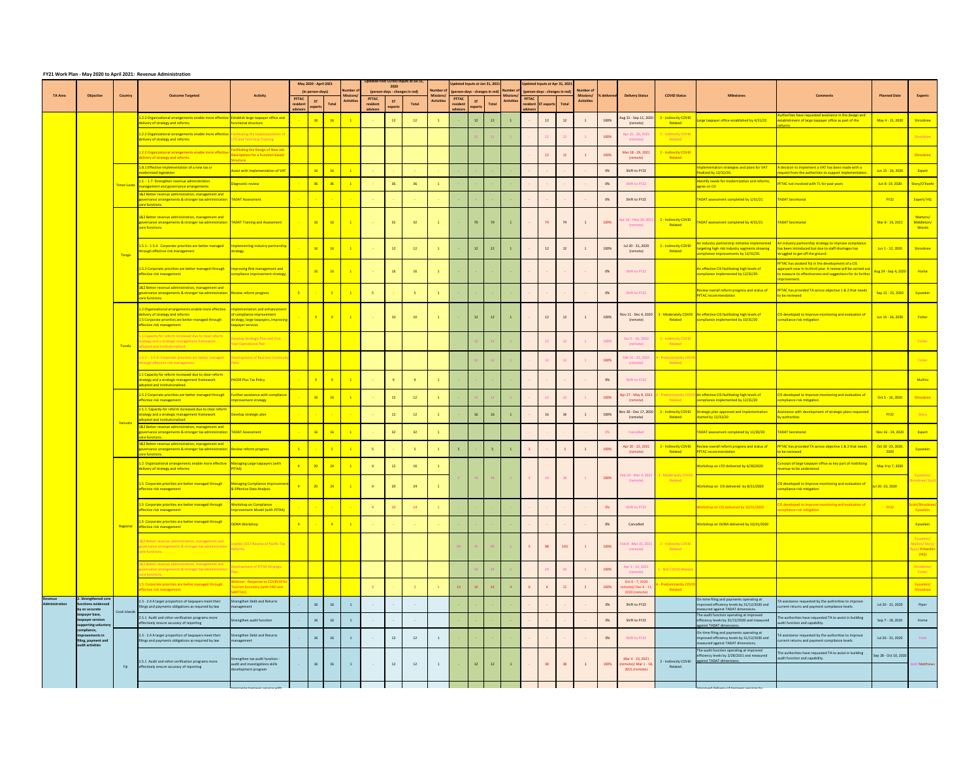## **FY21 Work Plan - May 2020 to April 2021: Revenue Administration**

|                |                                                                            |                | <b>TILL WORKT RIF-WAY LOLD to April LOLL. REVERTE AUTHORITIES</b>                                                                                                                                                            |                                                                                             |                          | May 2020 - April 2021                                                         |                                      |                           |                                        | Updated Post COVID Inputs at Jul 31, |                                      | Updated Inputs at Jan 31, 2021           |               |       |                                |                | Updated Inputs at Apr 31, 2021 |       |                                |                     |                                                          |                                         |                                                                                                                                         |                                                                                                                                                                                                  |                                           |                                                          |
|----------------|----------------------------------------------------------------------------|----------------|------------------------------------------------------------------------------------------------------------------------------------------------------------------------------------------------------------------------------|---------------------------------------------------------------------------------------------|--------------------------|-------------------------------------------------------------------------------|--------------------------------------|---------------------------|----------------------------------------|--------------------------------------|--------------------------------------|------------------------------------------|---------------|-------|--------------------------------|----------------|--------------------------------|-------|--------------------------------|---------------------|----------------------------------------------------------|-----------------------------------------|-----------------------------------------------------------------------------------------------------------------------------------------|--------------------------------------------------------------------------------------------------------------------------------------------------------------------------------------------------|-------------------------------------------|----------------------------------------------------------|
|                |                                                                            |                |                                                                                                                                                                                                                              |                                                                                             |                          | (in person-days)                                                              | Number c                             |                           | 2020<br>(person-days - changes in red) |                                      | Number of                            | (person-days - changes in red) Number of |               |       |                                |                | (person-days - changes in red) |       | <b>Number of</b>               |                     |                                                          |                                         |                                                                                                                                         |                                                                                                                                                                                                  |                                           |                                                          |
| <b>TA Area</b> | Objective                                                                  | <b>Country</b> | <b>Outcome Targeted</b>                                                                                                                                                                                                      | <b>Activity</b>                                                                             | <b>PFTAC</b><br>resident | ST.<br>Total                                                                  | <b>Mission:</b><br><b>Activities</b> | <b>PFTAC</b><br>resident  | <b>ST</b>                              | <b>Total</b>                         | <b>Missions</b><br><b>Activities</b> | <b>PFTAC</b><br>resident                 | <b>ST</b>     | Total | ،Aissions<br><b>Activities</b> | <b>PFTAC</b>   | resident ST experts            | Total | Missions/<br><b>Activities</b> | <b>1% delivered</b> | <b>Delivery Status</b>                                   | <b>COVID Status</b>                     | <b>Milestones</b>                                                                                                                       | <b>Comments</b>                                                                                                                                                                                  | <b>Planned Date</b>                       | <b>Experts</b>                                           |
|                |                                                                            |                | 1.2.2 Organizational arrangements enable more effective Establish large taxpayer office and                                                                                                                                  |                                                                                             | advisors                 | experts<br>16<br>16                                                           |                                      | advisors                  | experts<br>12                          | 12                                   |                                      | advisors                                 | experts<br>12 |       |                                | adviso         |                                |       |                                | 100%                | Aug 31 - Sep 11, 2020                                    | 2 - Indirectly COVID                    | Large taxpayer office established by 4/31/22                                                                                            | Authorities have requested assistance in the design and<br>establishment of large taxpayer office as part of the                                                                                 | May 4 - 15, 2020                          | <b>Shrosbree</b>                                         |
|                |                                                                            |                | delivery of strategy and reforms<br>1.2.2 Organizational arrangements enable more effective   Fa<br>delivery of strategy and reforms                                                                                         | <b>Functional structure</b><br>litating the Implementation of<br>LTO and Technical Training |                          |                                                                               |                                      |                           |                                        |                                      |                                      |                                          |               |       |                                |                |                                |       |                                | 100%                | (remote)<br>Apr 15 - 26, 2021<br>(remote)                | Related<br>- Indirectly COVI<br>Related |                                                                                                                                         | forms                                                                                                                                                                                            |                                           | Shrosbree                                                |
|                |                                                                            |                | 1.2.2 Organizational arrangements enable more effecti<br>delivery of strategy and reforms                                                                                                                                    | Facilitating the Design of New Job<br><b>Descriptions for a Function based</b>              |                          |                                                                               |                                      |                           |                                        |                                      |                                      |                                          |               |       |                                |                |                                |       |                                | 100%                | Mar 18 - 29, 2021<br>(remote)                            | 2 - Indirectly COVID<br>Related         |                                                                                                                                         |                                                                                                                                                                                                  |                                           | Shrosbree                                                |
|                |                                                                            |                | 1.8.1 Effective implementation of a new tax or<br>modernized legislation                                                                                                                                                     | <b>Structure</b><br>Assist with implementation of VAT                                       |                          | $\begin{array}{ c c c }\n\hline\n16 & \\\hline\n\end{array}$<br>$-16$         | $\overline{1}$                       |                           |                                        |                                      |                                      |                                          |               |       |                                |                |                                |       |                                | 0%                  | Shift to FY22                                            |                                         | Implementation strategies and plans for VAT<br>finalized by 12/31/20.                                                                   | A decision to implement a VAT has been made with a<br>request from the authorities to support implementation                                                                                     | Jun 15 - 26, 2020                         | <b>Expert</b>                                            |
|                |                                                                            |                | 1.1. - 1.7. Strengthen revenue administration<br>Timor-Leste management and governance arrangements                                                                                                                          | Diagnostic review                                                                           |                          | 36<br>$-36$                                                                   | $\overline{1}$                       |                           | 36                                     | 36                                   |                                      |                                          |               |       |                                |                |                                |       |                                | 0%                  | Shift to FY22                                            |                                         | Identify needs for modernization and reforms,<br>agree on CD                                                                            | PFTAC not involved with TL for past years                                                                                                                                                        | <mark>Jun 8-19, 2020 Story/O'Keefe</mark> |                                                          |
|                |                                                                            |                | 1&2 Better revenue administration, management and<br>governance arrangements & stronger tax administration TADAT Assessment<br>core functions.                                                                               |                                                                                             |                          | $\sim 10^{-10}$                                                               |                                      |                           |                                        |                                      |                                      |                                          |               |       |                                |                |                                |       |                                | 0%                  | Shift to FY22                                            |                                         | TADAT assessment completed by 1/31/21                                                                                                   | TADAT Secretariat                                                                                                                                                                                | $-Y22$                                    | Expert/HQ                                                |
|                |                                                                            |                | 1&2 Better revenue administration, management and<br>governance arrangements & stronger tax administration TADAT Training and Assessment<br>core functions.                                                                  |                                                                                             |                          | $\begin{array}{ c c c c }\n\hline\n16 & 16 \\ \hline\n\end{array}$            | $\overline{1}$                       |                           | 32 <sup>2</sup>                        | $-32$                                | $\mathbf{1}$                         |                                          | 70            | 70    |                                |                | 74                             | 74    |                                | 100%                | pr 10 - May 30, 202:<br>(remote)                         | 2 - Indirectly COVID<br>Related         | TADAT assessment completed by 4/31/21                                                                                                   | <b>TADAT Secretariat</b>                                                                                                                                                                         | Mar 8 - 19, 2021                          | Martens/<br>Middleton/<br><b>Woods</b>                   |
|                |                                                                            | Tonga          | 1.5.1.-1.5.4. Corporate priorities are better managed<br>through effective risk management                                                                                                                                   | Implementing industry partnership<br>trategy                                                |                          | $\begin{array}{ c c c }\n\hline\n16 & \hline\n\end{array}$<br>$\overline{16}$ | $\blacksquare$ 1                     |                           | 12                                     | 12                                   |                                      |                                          | 12            | 12    |                                |                | 12                             | 12    |                                | 100%                | Jul 20 - 31, 2020<br>(remote)                            | 2 - Indirectly COVID<br>Related         | An industry partnership initiative implemented<br>targeting high risk industry segments showing<br>compliance improvements by 12/31/20. | An industry partnership strategy to improve compliance<br>has been introduced but due to staff shortages has<br>struggled to get off the ground.                                                 | Jun 1 - 12, 2020                          | <b>Shrosbree</b>                                         |
|                |                                                                            |                | 1.5.2 Corporate priorities are better managed through<br>effective risk management                                                                                                                                           | Improving Risk management and<br>compliance improvement strategy;                           |                          | $\begin{array}{ c c c c c }\n\hline\n16 & 16 \\ \hline\n\end{array}$          | $\overline{1}$                       | <b>Contract</b>           | 16                                     | 16                                   | $\mathbf{1}$                         | $\sim 10^{-10}$                          |               |       |                                | $\sim 10^{-1}$ |                                |       |                                | 0%                  | Shift to FY22                                            |                                         | An effective CIS facilitating high levels of<br>compliance implemented by 12/31/20.                                                     | PFTAC has assisted Fiji in the development of a CIS<br>approach now in its third year. A review will be carried ou<br>to measure its effectiveness and suggestions for its furth<br>improvement. | Aug 24 - Sep 4, 2020                      | <b>Example Home</b>                                      |
|                |                                                                            |                | 1&2 Better revenue administration, management and<br>overnance arrangements & stronger tax administration FReview reform progress<br>core functions.                                                                         |                                                                                             |                          |                                                                               |                                      |                           |                                        |                                      |                                      |                                          |               |       |                                |                |                                |       |                                | 0%                  | Shift to FY22                                            |                                         | <b>PFTAC</b> recommendation                                                                                                             | Review overall reform progress and status of PFTAC has provided TA across objective 1 & 2 that needs<br>to be reviewed                                                                           | Sep 21 - 25, 2020 Eysselein               |                                                          |
|                |                                                                            |                | $\vert$ 1.2 Organizational arrangements enable more effective $\vert$ Implementation and enhancement<br>delivery of strategy and reforms<br>1.5 Corporate priorities are better managed through<br>effective risk management | of compliance improvement<br>strategy, large taxpayers, Improvin<br>taxpayer services       |                          | $\overline{9}$<br>- 9 -                                                       | $\blacksquare$ 1                     | <b>Contract</b>           | 10                                     | 10 <sup>1</sup>                      | $\mathbf{1}$                         | $\sim 1000$ km s $^{-1}$                 | 12            | 12    |                                |                | 12                             | 12    |                                | 100%                | (remote)                                                 | Related                                 | Nov 11 - Dec 4, 2020 3 - Moderately COVID An effective CIS facilitating high levels of<br>compliance implemented by 10/31/20            | $\frac{2}{15}$ developed to Improve monitoring and evaluation of<br>compliance risk mitigation                                                                                                   | <b>Jun 15 - 26, 2020</b>                  | <b>Eisher</b>                                            |
|                |                                                                            |                | Capacity for reform increased due to clear reform<br>trategy and a strategic management framework<br>Tuvalu adopted and institutionalized.                                                                                   | Pevelop Strategic Plan and First<br>ear Operational Plan                                    |                          |                                                                               |                                      |                           |                                        |                                      |                                      |                                          |               |       |                                |                |                                |       |                                | 100%                | Oct 5 - 16, 2020<br>(remote)                             | ! - Indirectly COVI<br>Related          |                                                                                                                                         |                                                                                                                                                                                                  |                                           | <b>Fisher</b>                                            |
|                |                                                                            |                | .5.1. - 1.5.4. Corporate priorities are better managed<br>through effective risk management                                                                                                                                  | ent of Business Continu                                                                     |                          |                                                                               |                                      |                           |                                        |                                      |                                      |                                          |               |       |                                |                |                                |       |                                | 100%                | Feb 11 - 22, 2021<br>(remote)                            | <b>Predominantly C</b><br>Related       |                                                                                                                                         |                                                                                                                                                                                                  |                                           | <b>Fisher</b>                                            |
|                |                                                                            |                | 1.1 Capacity for reform increased due to clear reform<br>strategy and a strategic management framework<br>adopted and institutionalized.                                                                                     | <b>PACER Plus Tax Policy</b>                                                                |                          | $-9$                                                                          | $\overline{1}$                       |                           |                                        |                                      |                                      |                                          |               |       |                                |                |                                |       |                                | 0%                  | Shift to FY22                                            |                                         |                                                                                                                                         |                                                                                                                                                                                                  |                                           | <b>Mullins</b>                                           |
|                |                                                                            |                | 1.5.2 Corporate priorities are better managed through<br>effective risk management                                                                                                                                           | <b>Further assistance with compliance</b><br>improvement strategy                           |                          | 16<br>$\frac{16}{16}$                                                         | $\boxed{1}$                          |                           | 12                                     | 12                                   |                                      |                                          |               |       |                                |                |                                |       |                                | 100%                | Apr 27 - May 8, 2021<br>(remote)                         | Predominantly<br>Related                | An effective CIS facilitating high levels of<br>compliance implemented by 12/31/20                                                      | IS developed to Improve monitoring and evaluation of<br>ompliance risk mitigation                                                                                                                | Oct 5 - 16, 2020 Shrosbree                |                                                          |
|                |                                                                            | <b>Vanuatu</b> | 1.1.1 Capacity for reform increased due to clear reform<br>strategy and a strategic management framework<br>adopted and institutionalized                                                                                    | Develop strategic plan                                                                      |                          | $\sim 10^{-10}$                                                               | $\sim$ 100 $\mu$                     |                           | 12                                     | 12                                   |                                      |                                          | 16            |       |                                |                | 16                             | 16    |                                | 100%                | lov 30 - Dec 17, 2020<br>(remote)                        | 2 - Indirectly COVID<br>Related         | Strategic plan approved and implementation<br>started by 12/31/20                                                                       | Assistance with development of strategic plans requested<br>y authorities                                                                                                                        | FY22                                      | Story 5                                                  |
|                |                                                                            |                | 1&2 Better revenue administration, management and<br>governance arrangements & stronger tax administration TADAT Assessment<br>core functions.                                                                               |                                                                                             |                          | 16<br>$\overline{16}$                                                         | $\overline{1}$                       |                           | 32                                     | 32 <sup>°</sup>                      |                                      |                                          |               |       |                                |                |                                |       |                                |                     | Cancelled                                                |                                         | TADAT assessment completed by 11/30/20                                                                                                  | <b>ADAT Secretariat</b>                                                                                                                                                                          | Nov $16 - 24, 2020$                       | <b>Expert</b>                                            |
|                |                                                                            |                | 1&2 Better revenue administration, management and<br>governance arrangements & stronger tax administration Review reform progress<br>core functions.                                                                         |                                                                                             |                          | $\sim 10^{-10}$                                                               | $\overline{1}$                       |                           |                                        |                                      |                                      |                                          |               |       |                                |                |                                |       |                                | 100%                | Apr 20 - 22, 2021<br>(remote)                            | 2 - Indirectly COVID<br>Related         | Review overall reform progress and status of<br><b>PFTAC recommendation</b>                                                             | PFTAC has provided TA across objective 1 & 2 that needs   Oct 20-23, 2020,<br>to be reviewed                                                                                                     | 2020                                      | Eysselein                                                |
|                |                                                                            |                | 1.2 Organizational arrangements enable more effective Managing Large taxpayers (with<br>delivery of strategy and reforms                                                                                                     | <b>ITAA)</b>                                                                                |                          | $\overline{\phantom{0}20}$<br>$\overline{24}$                                 | $\overline{1}$                       | $\overline{4}$            | 12                                     | 16                                   |                                      |                                          |               |       |                                |                |                                |       |                                |                     | eb 24 - Mar 4, 2021                                      | <b>- Moderately C</b>                   | Workshop on LTO delivered by 6/30/2020                                                                                                  | oncept of large taxpayer office as key part of mobilizing<br>revenue to be understood                                                                                                            | May 4 to 7, 2020                          | Eysselein/                                               |
|                |                                                                            |                | 1.5 Corporate priorities are better managed through<br>effective risk management                                                                                                                                             | Managing Compliance Improveme<br>& Effective Data Analysis                                  |                          | $\overline{\phantom{0}20}$<br>$\sim$ 24 $\sim$                                | $\overline{1}$                       | $\overline{4}$            | 20 <sup>°</sup>                        | 24                                   | $\mathbf{1}$                         |                                          |               |       |                                | $\overline{4}$ | 14                             | 18    | $\mathbf{1}$                   | 100%                | (remote)                                                 | Related                                 | Workshop on CIS delivered by 8/31/2020                                                                                                  | S developed to Improve monitoring and evaluation of $\left\vert \frac{\text{J}}{\text{J}}\right\vert$ ul 20-23, 2020<br>ompliance risk mitigation                                                |                                           | hrosbree/Scott                                           |
|                |                                                                            |                | 1.5 Corporate priorities are better managed through<br>ffective risk management –                                                                                                                                            | <b>Workshop on Compliance</b><br>nprovement Model (with PITAA)                              |                          |                                                                               |                                      |                           |                                        |                                      |                                      |                                          |               |       |                                |                |                                |       |                                | 0%                  | Shift to FY22                                            |                                         | Workshop on CIS delivered by 10/31/2020                                                                                                 | CIS developed to Improve monitoring and evaluation of                                                                                                                                            | FY22                                      | cott/Shrosbree                                           |
|                |                                                                            |                | 1.5 Corporate priorities are better managed through<br>Regional effective risk management                                                                                                                                    | <b>SORA Workshop</b>                                                                        |                          | $\sim 10^{-10}$                                                               | $\overline{1}$                       |                           |                                        |                                      | <b>College</b>                       |                                          |               |       |                                |                |                                |       |                                | 0%                  | Cancelled                                                |                                         | Workshop on ISORA delivered by 10/31/2020                                                                                               |                                                                                                                                                                                                  |                                           | Eysselein                                                |
|                |                                                                            |                | 1&2 Better revenue administration, management and<br>overnance arrangements & stronger tax administratio<br>core functions.                                                                                                  | date 2017 Review of Pacific Tax                                                             |                          |                                                                               |                                      |                           |                                        |                                      |                                      |                                          |               |       |                                |                | 98                             | 103   |                                | 100%                | eb 8 - Mar 31, 2021   <mark>1</mark><br>(remote)         | 2 - Indirectly COVII<br>Related         |                                                                                                                                         |                                                                                                                                                                                                  |                                           | Eysselein/<br>Mullins/Story/<br>Ryan/ Prihardini<br>(HQ) |
|                |                                                                            |                | &2 Better revenue administration, management and<br>governance arrangements & stronger tax administration<br>$\mathop{\mathsf{core}}\nolimits$ functions. $\qquad \qquad$                                                    | nent of PITAA Strategic                                                                     |                          |                                                                               |                                      |                           |                                        |                                      |                                      |                                          |               |       |                                |                |                                |       | $\mathbf{1}$                   | 100%                | Apr 1 - 12, 2021<br>(remote)                             | - Not COVID Related                     |                                                                                                                                         |                                                                                                                                                                                                  |                                           | Shrosbree/<br>Fisher                                     |
|                |                                                                            |                | 1.5 Corporate priorities are better managed through<br>effective risk management                                                                                                                                             | Vebinar - Response to COVID19 f<br>purism Economy (with FAD and<br>ARTTAC)                  |                          |                                                                               |                                      | $\overline{2}$            |                                        | $\overline{2}$                       | $\overline{1}$                       | 14                                       |               |       |                                |                |                                |       |                                | 100%                | Oct 6 - 7, 2020<br>emote)/Dec 6 - 11<br>2020 (remote)    | Related                                 |                                                                                                                                         |                                                                                                                                                                                                  |                                           | Eysselein/<br>Shrosbree                                  |
| Administration | 2. Strengthened core<br>functions evidenced<br>by an accurate              | Cook Islands   | 2.3 - 2.4 A larger proportion of taxpayers meet their<br>filings and payments obligations as required by law                                                                                                                 | Strengthen Debt and Returns<br>management                                                   |                          | 16<br>16                                                                      |                                      | <b>Contract Contract</b>  |                                        | <b>Contract Contract</b>             |                                      |                                          |               |       |                                |                |                                |       | $\sim$ $ \sim$                 | 0%                  | Shift to FY22                                            |                                         | On-time filing and payments operating at<br>improved efficiency levels by 31/12/2020 and<br>measured against TADAT dimensions.          | A assistance requested by the authorities to improve<br>current returns and payment compliance levels.                                                                                           | Jul 20 - 31, 2020                         | Piper                                                    |
|                | taxpayer base,<br>taxpayer services<br>supporting voluntary<br>compliance, |                | 2.5.1 Audit and other verification programs more<br>effectively ensure accuracy of reporting                                                                                                                                 | Strengthen audit function                                                                   |                          | 16<br>16                                                                      |                                      |                           |                                        | $\sim$ $-$                           |                                      |                                          |               |       |                                |                |                                |       | $\sim$                         | 0%                  | Shift to FY22                                            |                                         | The audit function operating at improved<br>efficiency levels by 31/12/2020 and measured<br>against TADAT dimensions.                   | The authorities have requested TA to assist in building<br>audit function and capability.                                                                                                        | Sep 7 - 18, 2020                          | Home                                                     |
|                | improvements in<br>filing, payment and<br>audit activities                 |                | 2.3 - 2.4 A larger proportion of taxpayers meet their<br>filings and payments obligations as required by law                                                                                                                 | <b>Strengthen Debt and Returns</b><br>management                                            | $\sim 100$               | 16<br>16                                                                      |                                      | $\sim$ $ \sim$            | 12                                     | 12                                   |                                      |                                          |               |       |                                |                |                                |       |                                | 0%                  | Shift to FY22                                            |                                         | On-time filing and payments operating at<br>improved efficiency levels by 31/12/2020 and<br>measured against TADAT dimensions.          | TA assistance requested by the authorities to improve<br>current returns and payment compliance levels.                                                                                          | Jul 20 - 31, 2020                         | <b>Example 1</b>                                         |
|                |                                                                            |                | 2.5.1 Audit and other verification programs more<br>effectively ensure accuracy of reporting                                                                                                                                 | Strengthen tax audit function -<br>audit and investigations skills<br>development program   | <b>Contract Contract</b> | $\begin{array}{ c c c c c } \hline \end{array}$ 16<br>16                      |                                      | $\sim 10^{-10}$ m $^{-1}$ | 12                                     | 12                                   | 1                                    |                                          | 12            | 12    |                                |                | 38                             | 38    |                                | 100%                | Mar 4 - 23, 2021<br>remote)/ Mar 1 - 18<br>2021 (remote) | 2 - Indirectly COVID<br>Related         | The audit function operating at improved<br>efficiency levels by 2/28/2021 and measured<br>against TADAT dimensions.                    | The authorities have requested TA to assist in building<br>audit function and capability.                                                                                                        | Sep 28 - Oct 10, 2020                     | / Matthews                                               |
|                |                                                                            |                |                                                                                                                                                                                                                              |                                                                                             |                          |                                                                               |                                      |                           |                                        |                                      |                                      |                                          |               |       |                                |                |                                |       |                                |                     |                                                          |                                         | avad dalivary of taxoguar canvicac by                                                                                                   |                                                                                                                                                                                                  |                                           |                                                          |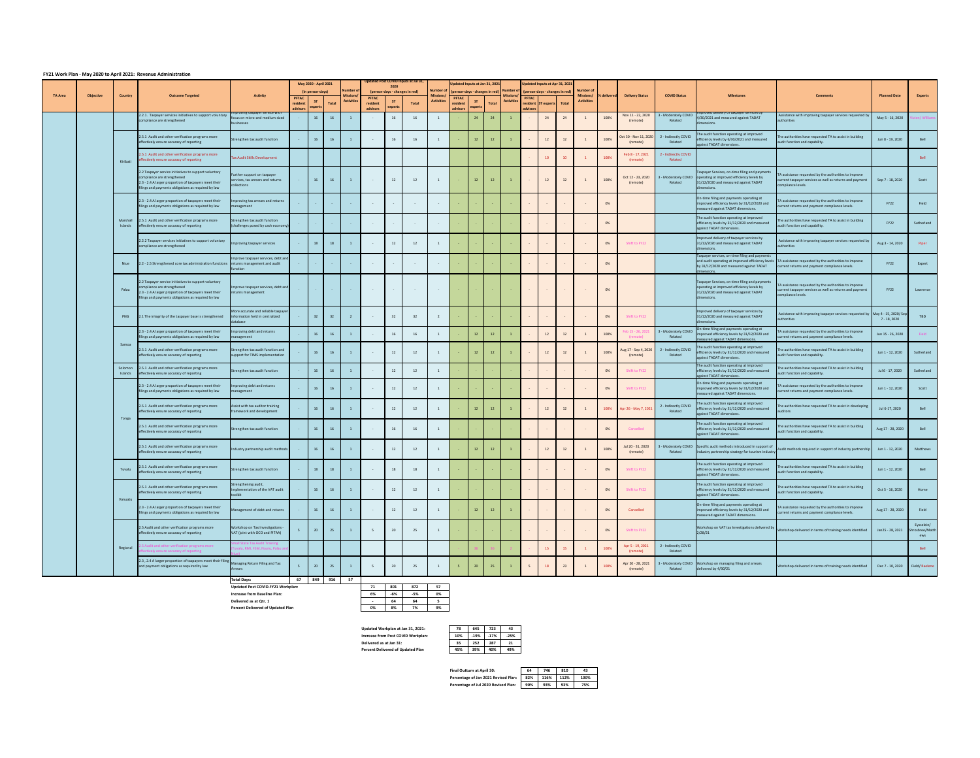**Increase from Baseline Plan: 6% 1 -6% 1 -6% 1 -5% Delivered as at Qtr. 1 - 64 64 5**

## **FY21 Work Plan - May 2020 to April 2021: Revenue Administration**

|                |           |                    |                                                                                                                                                                                                      |                                                                                 |                          | May 2020 - April 2021 |                 |                                    |                      | 2020                     | Updated Post COVID Inputs at Jul 31, |                                                   |                     | Updated Inputs at Jan 31, 2021       |              |                                |              | Updated Inputs at Apr 31, 2021 |       | <b>Number of</b>               |              |                                  |                                                       |                                                                                                                                                                           |                                                                                                                                                           |                                    |                                      |
|----------------|-----------|--------------------|------------------------------------------------------------------------------------------------------------------------------------------------------------------------------------------------------|---------------------------------------------------------------------------------|--------------------------|-----------------------|-----------------|------------------------------------|----------------------|--------------------------|--------------------------------------|---------------------------------------------------|---------------------|--------------------------------------|--------------|--------------------------------|--------------|--------------------------------|-------|--------------------------------|--------------|----------------------------------|-------------------------------------------------------|---------------------------------------------------------------------------------------------------------------------------------------------------------------------------|-----------------------------------------------------------------------------------------------------------------------------------------------------------|------------------------------------|--------------------------------------|
| <b>TA Area</b> | Objective | <b>Country</b>     | <b>Outcome Targeted</b>                                                                                                                                                                              | <b>Activity</b>                                                                 | <b>PFTAC</b>             | (in person-days)      |                 | <b>Number</b><br><b>Activities</b> | <b>PFTAC</b>         | ST                       | (person-days - changes in red)       | <b>Number of</b><br>Missions<br><b>Activities</b> | <b>PFTAC</b>        | (person-days - changes in red)<br>ST |              | Number of<br><b>Activities</b> | <b>PFTAC</b> | (person-days - changes in red) |       | Missions/<br><b>Activities</b> | ■% delivered | <b>Delivery Status</b>           | <b>COVID Status</b>                                   | <b>Milestones</b>                                                                                                                                                         | <b>Comments</b>                                                                                                                                           | <b>Planned Date</b>                | <b>Experts</b>                       |
|                |           |                    |                                                                                                                                                                                                      | iiproving taxpayer service with                                                 | resident<br>advisors     | experts               | <b>Total</b>    |                                    | resident<br>advisors | experts                  | Total                                |                                                   | residen<br>advisors | experts                              | <b>Total</b> |                                | advisors     | resident ST experts            | Total |                                |              |                                  |                                                       | <u>iiproveu delivery or taxpayer services b</u>                                                                                                                           |                                                                                                                                                           |                                    |                                      |
|                |           |                    | 2.2.1. Taxpayer services initiatives to support voluntary<br>compliance are strengthened                                                                                                             | focus on micro-and medium sized<br>pusinesses                                   |                          | 16                    | 16              |                                    |                      | 16                       |                                      |                                                   |                     | 24                                   | 24           |                                |              | 24                             |       |                                | 100%         | Nov 11 - 22, 2020<br>(remote)    | 3 - Moderately COVID<br>Related                       | 4/30/2021 and measured against TADAT<br>dimensions.                                                                                                                       | Assistance with improving taxpayer services requested b<br>authorities                                                                                    | May 5 - 16, 2020                   | vien/ Willian                        |
|                |           |                    | 2.5.1 Audit and other verification programs more<br>effectively ensure accuracy of reporting                                                                                                         | Strengthen tax audit function                                                   |                          | 16                    | 16              |                                    |                      | 16                       | 16                                   |                                                   |                     | 12                                   | 12           |                                |              | 12                             |       |                                | 100%         | (remote)                         | Oct 30 - Nov 11, 2020 2 - Indirectly COVID<br>Related | The audit function operating at improved<br>efficiency levels by 6/30/2021 and measured<br>against TADAT dimensions.                                                      | The authorities have requested TA to assist in building<br>audit function and capability.                                                                 | Jun 8 - 19, 2020                   | Bell                                 |
|                |           | Kiribati           | 2.5.1 Audit and other verification programs more<br>effectively ensure accuracy of reporting                                                                                                         | <b>Tax Audit Skills Development</b>                                             |                          |                       |                 |                                    |                      |                          |                                      |                                                   |                     |                                      |              |                                |              | 10                             | $-10$ |                                | 100%         | Feb 8 - 17, 2021<br>(remote)     | 2 - Indirectly COVID<br>Related                       |                                                                                                                                                                           |                                                                                                                                                           |                                    | <b>Bell</b>                          |
|                |           |                    | 2.2 Taxpayer service initiatives to support voluntary<br>compliance are strengthened<br>2.3 - 2.4 A larger proportion of taxpayers meet their<br>filings and payments obligations as required by law | Further support on taxpayer<br>services, tax arrears and returns<br>ollections  | $\sim 100$ km s $^{-1}$  | 16                    | 16              |                                    |                      | 12                       | 12                                   |                                                   |                     | 12                                   | 12           |                                |              | 12                             | 12    |                                | 100%         | Oct 12 - 23, 2020<br>(remote)    | Related                                               | Taxpayer Services, on-time filing and payments<br>3 - Moderately COVID operating at improved efficiency levels by<br>31/12/2020 and measured against TADAT<br>dimensions. | TA assistance requested by the authorities to improve<br>current taxpayer services as well as returns and payment<br>compliance levels.                   | Sep 7 - 18, 2020                   | Scott                                |
|                |           |                    | 2.3 - 2.4 A larger proportion of taxpayers meet their<br>filings and payments obligations as required by law                                                                                         | nproving tax arrears and returns<br>management                                  | $\sim$ $-$               |                       |                 |                                    |                      | <b>Contract Contract</b> |                                      |                                                   |                     |                                      |              |                                |              |                                |       |                                | 0%           |                                  |                                                       | On-time filing and payments operating at<br>improved efficiency levels by 31/12/2020 and<br>measured against TADAT dimensions.                                            | A assistance requested by the authorities to improve<br>current returns and payment compliance levels.                                                    | <b>FY22</b>                        | Field                                |
|                |           | Islands            | Marshall 2.5.1 Audit and other verification programs more<br>effectively ensure accuracy of reporting                                                                                                | Strengthen tax audit function<br>(challenges posed by cash economy)             |                          |                       |                 |                                    |                      | $\sim 100$ m $^{-1}$     |                                      |                                                   |                     |                                      |              |                                |              |                                |       |                                | 0%           |                                  |                                                       | The audit function operating at improved<br>efficiency levels by 31/12/2020 and measured<br>against TADAT dimensions.                                                     | The authorities have requested TA to assist in building<br>audit function and capability.                                                                 | <b>FY22</b>                        | Sutherland                           |
|                |           |                    | 2.2.2 Taxpayer services initiatives to support voluntary<br>compliance are strengthened                                                                                                              | Improving taxpayer services                                                     | $\sim$ $ \sim$           | 18                    | 18              |                                    |                      | 12                       | 12                                   |                                                   |                     |                                      |              |                                |              |                                |       |                                | 0%           | Shift to FY22                    |                                                       | Improved delivery of taxpayer services by<br>31/12/2020 and measured against TADAT<br>dimensions                                                                          | Assistance with improving taxpayer services requested b<br>authorities                                                                                    | Aug 3 - 14, 2020                   | Piper                                |
|                |           | Niue               | 2.2 - 2.5 Strengthened core tax administration functions returns management and audit                                                                                                                | mprove taxpayer services, debt and                                              |                          |                       |                 |                                    |                      |                          |                                      |                                                   |                     |                                      |              |                                |              |                                |       |                                | 0%           |                                  |                                                       | Taxpayer services, on-time filing and payments<br>by 31/12/2020 and measured against TADAT                                                                                | and audit operating at improved efficiency levels TA assistance requested by the authorities to improve<br>current returns and payment compliance levels. | <b>FY22</b>                        | Expert                               |
|                |           | Palau              | 2.2 Taxpayer service initiatives to support voluntary<br>compliance are strengthened<br>2.3 - 2.4 A larger proportion of taxpayers meet their<br>filings and payments obligations as required by law | Improve taxpayer services, debt and<br>returns management                       |                          |                       |                 | <b>State State</b>                 | <b>State State</b>   | <b>Common</b>            | <b>Contract Contract</b>             | <b>Contract Contract</b>                          |                     |                                      |              |                                |              |                                |       | $\sim$                         | 0%           |                                  |                                                       | Taxpayer Services, on-time filing and payments<br>operating at improved efficiency levels by<br>31/12/2020 and measured against TADAT<br>dimensions.                      | TA assistance requested by the authorities to improve<br>current taxpayer services as well as returns and payment<br>compliance levels.                   | <b>FY22</b>                        | Lawrence                             |
|                |           |                    | PNG 2.1 The integrity of the taxpayer base is strengthened                                                                                                                                           | More accurate and reliable taxpayer<br>ormation held in centralized<br>database |                          | 32                    | 32 <sub>2</sub> |                                    |                      | 32                       | 32                                   |                                                   |                     |                                      |              |                                |              |                                |       |                                | 0%           | Shift to FY22                    |                                                       | mproved delivery of taxpayer services by<br>31/12/2020 and measured against TADAT<br>dimensions.                                                                          | Assistance with improving taxpayer services requested by May 4 - 15, 2020/ Sep<br>authorities                                                             | 7 - 18, 2020                       | <b>TBD</b>                           |
|                |           |                    | 2.3 - 2.4 A larger proportion of taxpayers meet their<br>filings and payments obligations as required by law                                                                                         | mproving debt and returns<br>management                                         |                          | 16                    | $-16$           |                                    |                      | 16                       | 16                                   |                                                   |                     | 12                                   | 12           |                                |              | 12                             |       |                                | 100%         | eb 15 - 26, 2021<br>(remote)     | 3 - Moderately COVID<br>Related                       | On-time filing and payments operating at<br>improved efficiency levels by 31/12/2020 and<br>measured against TADAT dimensions.                                            | A assistance requested by the authorities to improve<br>current returns and payment compliance levels.                                                    | Jun 15 - 26, 2020                  |                                      |
|                |           | Samoa              | 2.5.1 Audit and other verification programs more<br>effectively ensure accuracy of reporting                                                                                                         | Strengthen tax audit function and<br>support for TIMS implementation            | <b>Contract Contract</b> | 16                    | 16              |                                    | $\sim 100$           | 12                       | 12                                   |                                                   |                     | 12                                   | 12           |                                |              | 12                             |       |                                | 100%         | Aug 17 - Sep 4, 2020<br>(remote) | 2 - Indirectly COVID<br>Related                       | The audit function operating at improved<br>efficiency levels by 31/12/2020 and measured<br>against TADAT dimensions.                                                     | The authorities have requested TA to assist in building<br>audit function and capability.                                                                 | Jun 1 - 12, 2020                   | Sutherland                           |
|                |           | Solomon<br>Islands | 2.5.1 Audit and other verification programs more<br>effectively ensure accuracy of reporting                                                                                                         | Strengthen tax audit function                                                   |                          | 16                    | 16              |                                    |                      | 12                       | 12                                   |                                                   |                     |                                      |              |                                |              |                                |       |                                | 0%           | Shift to FY22                    |                                                       | The audit function operating at improved<br>efficiency levels by 31/12/2020 and measured<br>against TADAT dimensions.                                                     | he authorities have requested TA to assist in building<br>audit function and capability.                                                                  | Jul 6 - 17, 2020                   | Sutherland                           |
|                |           |                    | 2.3 - 2.4 A larger proportion of taxpayers meet their<br>filings and payments obligations as required by law                                                                                         | nproving debt and returns<br>management                                         |                          | 16                    | 16              |                                    |                      | 12                       | 12                                   |                                                   |                     |                                      |              |                                |              |                                |       |                                | 0%           | Shift to FY22                    |                                                       | On-time filing and payments operating at<br>improved efficiency levels by 31/12/2020 and<br>measured against TADAT dimensions.                                            | A assistance requested by the authorities to improve<br>current returns and payment compliance levels.                                                    | Jun 1 - 12, 2020                   | Scott                                |
|                |           |                    | 2.5.1 Audit and other verification programs more<br>effectively ensure accuracy of reporting                                                                                                         | ssist with tax auditor training<br>framework and development                    |                          | 16                    | 16              |                                    |                      | 12                       | 12                                   |                                                   |                     | 12                                   | 12           |                                |              | 12                             | 12    |                                | 100%         | Apr 26 - May 7, 2021             | 2 - Indirectly COVID<br>Related                       | The audit function operating at improved<br>efficiency levels by 31/12/2020 and measured<br>against TADAT dimensions.                                                     | The authorities have requested TA to assist in developing<br>uditors                                                                                      | Jul 6-17, 2020                     | Bell                                 |
|                |           | Tonga              | 2.5.1 Audit and other verification programs more<br>effectively ensure accuracy of reporting                                                                                                         | Strengthen tax audit function                                                   |                          | 16                    | 16              |                                    |                      | 16                       | 16                                   |                                                   |                     |                                      |              |                                |              |                                |       |                                | 0%           | Cancelled                        |                                                       | The audit function operating at improved<br>efficiency levels by 31/12/2020 and measured<br>against TADAT dimensions.                                                     | The authorities have requested TA to assist in building<br>audit function and capability.                                                                 | Aug 17 - 28, 2020                  | Bell                                 |
|                |           |                    | 2.5.1 Audit and other verification programs more<br>effectively ensure accuracy of reporting                                                                                                         | Industry partnership audit methods                                              |                          | 16                    | 16              |                                    |                      | 12                       | 12                                   |                                                   |                     | <b>12</b>                            | 12           |                                |              | 12                             |       |                                | 100%         | Jul 20 - 31, 2020<br>(remote)    | Related                                               | 3 - Moderately COVID Specific audit methods introduced in support of<br>industry partnership strategy for tourism industry                                                | Audit methods required in support of industry partnership                                                                                                 | Jun 1 - 12, 2020                   | Matthews                             |
|                |           | Tuvalu             | 2.5.1 Audit and other verification programs more<br>effectively ensure accuracy of reporting                                                                                                         | Strengthen tax audit function                                                   | $\sim 1000$ km s $^{-1}$ | 18                    | 18              |                                    |                      | 18                       | 18                                   |                                                   |                     |                                      |              |                                |              |                                |       |                                | 0%           | Shift to FY22                    |                                                       | The audit function operating at improved<br>efficiency levels by 31/12/2020 and measured<br>against TADAT dimensions.                                                     | The authorities have requested TA to assist in building<br>audit function and capability.                                                                 | Jun 1 - 12, 2020                   | Bell                                 |
|                |           |                    | 2.5.1 Audit and other verification programs more<br>effectively ensure accuracy of reporting                                                                                                         | Strengthening audit,<br>Implementation of the VAT audit<br>toolkit              |                          | 16                    | 16              |                                    |                      | 12                       | 12                                   |                                                   |                     |                                      |              |                                |              |                                |       |                                | 0%           | Shift to FY22                    |                                                       | The audit function operating at improved<br>efficiency levels by 31/12/2020 and measured<br>against TADAT dimensions.                                                     | The authorities have requested TA to assist in building<br>audit function and capability.                                                                 | Oct 5 - 16, 2020                   | Home                                 |
|                |           | Vanuatu            | 2.3 - 2.4 A larger proportion of taxpayers meet their<br>filings and payments obligations as required by law                                                                                         | nagement of debt and returns                                                    |                          | 16                    | 16              |                                    |                      | 12                       | 12                                   |                                                   |                     |                                      |              |                                |              |                                |       |                                | 0%           | Cancelled                        |                                                       | On-time filing and payments operating at<br>improved efficiency levels by 31/12/2020 and<br>measured against TADAT dimensions.                                            | TA assistance requested by the authorities to improve<br>current returns and payment compliance levels.                                                   | Aug 17 - 28, 2020                  | Field                                |
|                |           |                    | 2.5 Audit and other verification programs more<br>effectively ensure accuracy of reporting                                                                                                           | Workshop on Tax Investigations -<br>VAT (joint with OCO and PITAA)              |                          | 20                    | 25              |                                    |                      | 20                       | 25                                   |                                                   |                     |                                      |              |                                |              |                                |       |                                | 0%           | Shift to FY22                    |                                                       | Workshop on VAT tax Investigations delivered by<br>2/28/21                                                                                                                | Vorkshop delivered in terms of training needs identified                                                                                                  | Jan 25 - 28, 2021                  | Eysselein/<br>Shrosbree/Matth<br>ews |
|                |           | Regional           | Audit and other verification programs more<br>ctively ensure accuracy of reporting                                                                                                                   | all State Tax Audit Training<br>valu, RMI, FSM, Nauru, Palau an                 |                          |                       |                 |                                    |                      |                          |                                      |                                                   |                     |                                      |              |                                |              | 15                             |       |                                | 100%         | Apr 5 - 19, 2021<br>(remote)     | 2 - Indirectly COVID<br>Related                       |                                                                                                                                                                           |                                                                                                                                                           |                                    | <b>Bell</b>                          |
|                |           |                    | 2.3, 2.4 A larger proportion of taxpayers meet their filin<br>and payment obligations as required by law                                                                                             | Managing Return Filing and Tax<br>Arrears                                       |                          | 20                    | 25              |                                    |                      | 20                       | 25                                   |                                                   |                     | 20                                   |              |                                |              |                                |       |                                | 100%         | Apr 20 - 28, 2021<br>(remote)    | Related                                               | 3 - Moderately COVID Workshop on managing filing and arrears<br>delivered by 4/30/21                                                                                      | Vorkshop delivered in terms of training needs identified                                                                                                  | Dec 7 - 10, 2020    Field/ Raelene |                                      |
|                |           |                    |                                                                                                                                                                                                      | <b>Total Days:</b>                                                              |                          |                       | 67 849 916      | 57                                 |                      |                          |                                      |                                                   |                     |                                      |              |                                |              |                                |       |                                |              |                                  |                                                       |                                                                                                                                                                           |                                                                                                                                                           |                                    |                                      |

**Updated Post COVID-FY21 Workplan: 1 1 1 1 801 872** 

**Percent Delivered of Updated Plan 0% 8% 7% 9%**

**Updated Workplan at Jan 31, 2021: 78 645 723 43 1ncrease from Post COVID Workplan: Delivered as at Jan 31: Percent Delivered of Updated Plan 45% 39% 40% 49%**

| 57 |  |
|----|--|
| 0% |  |
| 5  |  |
| 9% |  |
|    |  |

| 78  | 645    | 723    | 43     |
|-----|--------|--------|--------|
| 10% | $-19%$ | $-17%$ | $-25%$ |
| 35  | 252    | 287    | 21     |
| 45% | 39%    | 40%    | 49%    |

| Final Outturn at April 30:           | 64  | 746  | 810  | 43   |
|--------------------------------------|-----|------|------|------|
| Percentage of Jan 2021 Revised Plan: | 82% | 116% | 112% | 100% |
| Percentage of Jul 2020 Revised Plan: | 90% | 93%  | 93%  | 75%  |